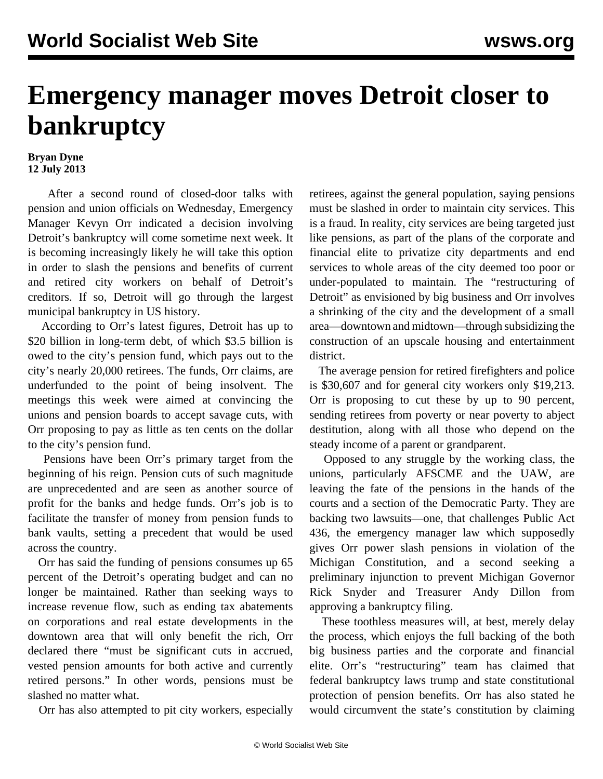## **Emergency manager moves Detroit closer to bankruptcy**

## **Bryan Dyne 12 July 2013**

 After a second round of closed-door talks with pension and union officials on Wednesday, Emergency Manager Kevyn Orr indicated a decision involving Detroit's bankruptcy will come sometime next week. It is becoming increasingly likely he will take this option in order to slash the pensions and benefits of current and retired city workers on behalf of Detroit's creditors. If so, Detroit will go through the largest municipal bankruptcy in US history.

 According to Orr's latest figures, Detroit has up to \$20 billion in long-term debt, of which \$3.5 billion is owed to the city's pension fund, which pays out to the city's nearly 20,000 retirees. The funds, Orr claims, are underfunded to the point of being insolvent. The meetings this week were aimed at convincing the unions and pension boards to accept savage cuts, with Orr proposing to pay as little as ten cents on the dollar to the city's pension fund.

 Pensions have been Orr's primary target from the beginning of his reign. Pension cuts of such magnitude are unprecedented and are seen as another source of profit for the banks and hedge funds. Orr's job is to facilitate the transfer of money from pension funds to bank vaults, setting a precedent that would be used across the country.

 Orr has said the funding of pensions consumes up 65 percent of the Detroit's operating budget and can no longer be maintained. Rather than seeking ways to increase revenue flow, such as ending tax abatements on corporations and real estate developments in the downtown area that will only benefit the rich, Orr declared there "must be significant cuts in accrued, vested pension amounts for both active and currently retired persons." In other words, pensions must be slashed no matter what.

Orr has also attempted to pit city workers, especially

retirees, against the general population, saying pensions must be slashed in order to maintain city services. This is a fraud. In reality, city services are being targeted just like pensions, as part of the plans of the corporate and financial elite to privatize city departments and end services to whole areas of the city deemed too poor or under-populated to maintain. The "restructuring of Detroit" as envisioned by big business and Orr involves a shrinking of the city and the development of a small area—downtown and midtown—through subsidizing the construction of an upscale housing and entertainment district.

 The average pension for retired firefighters and police is \$30,607 and for general city workers only \$19,213. Orr is proposing to cut these by up to 90 percent, sending retirees from poverty or near poverty to abject destitution, along with all those who depend on the steady income of a parent or grandparent.

 Opposed to any struggle by the working class, the unions, particularly AFSCME and the UAW, are leaving the fate of the pensions in the hands of the courts and a section of the Democratic Party. They are backing two lawsuits—one, that challenges Public Act 436, the emergency manager law which supposedly gives Orr power slash pensions in violation of the Michigan Constitution, and a second seeking a preliminary injunction to prevent Michigan Governor Rick Snyder and Treasurer Andy Dillon from approving a bankruptcy filing.

 These toothless measures will, at best, merely delay the process, which enjoys the full backing of the both big business parties and the corporate and financial elite. Orr's "restructuring" team has claimed that federal bankruptcy laws trump and state constitutional protection of pension benefits. Orr has also stated he would circumvent the state's constitution by claiming